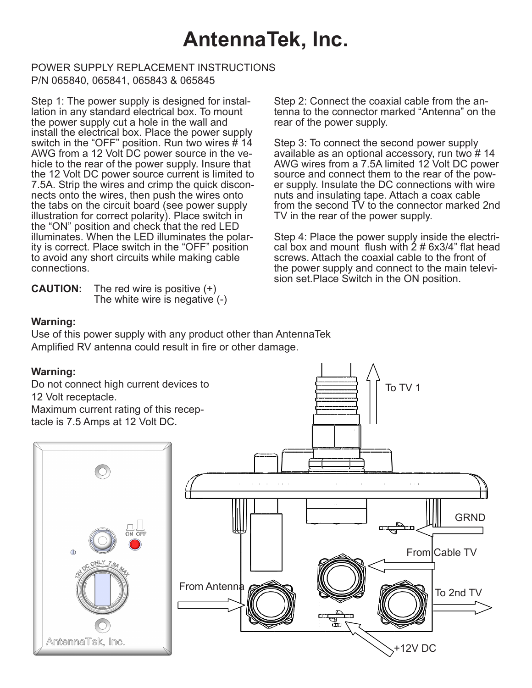# **AntennaTek, Inc.**

#### POWER SUPPLY REPLACEMENT INSTRUCTIONS P/N 065840, 065841, 065843 & 065845

Step 1: The power supply is designed for installation in any standard electrical box. To mount the power supply cut a hole in the wall and install the electrical box. Place the power supply switch in the "OFF" position. Run two wires # 14 AWG from a 12 Volt DC power source in the vehicle to the rear of the power supply. Insure that the 12 Volt DC power source current is limited to 7.5A. Strip the wires and crimp the quick disconnects onto the wires, then push the wires onto the tabs on the circuit board (see power supply illustration for correct polarity). Place switch in the "ON" position and check that the red LED illuminates. When the LED illuminates the polarity is correct. Place switch in the "OFF" position to avoid any short circuits while making cable connections.

**CAUTION:** The red wire is positive (+) The white wire is negative (-)

Step 2: Connect the coaxial cable from the antenna to the connector marked "Antenna" on the rear of the power supply.

Step 3: To connect the second power supply available as an optional accessory, run two # 14 AWG wires from a 7.5A limited 12 Volt DC power source and connect them to the rear of the power supply. Insulate the DC connections with wire nuts and insulating tape. Attach a coax cable from the second TV to the connector marked 2nd TV in the rear of the power supply.

Step 4: Place the power supply inside the electrical box and mount flush with  $2 \# 6x3/4$ " flat head screws. Attach the coaxial cable to the front of the power supply and connect to the main television set.Place Switch in the ON position.

To TV 1

### **Warning:**

Use of this power supply with any product other than AntennaTek Amplified RV antenna could result in fire or other damage.

### **Warning:**

Do not connect high current devices to 12 Volt receptacle. Maximum current rating of this receptacle is 7.5 Amps at 12 Volt DC.